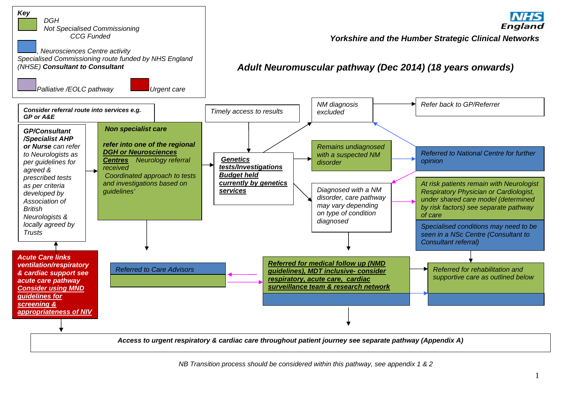

 *NB Transition process should be considered within this pathway, see appendix 1 & 2*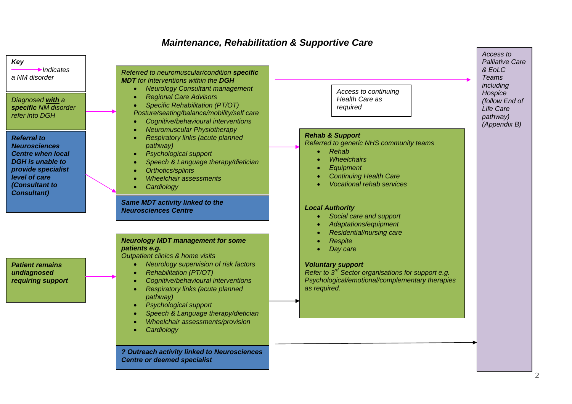## *Maintenance, Rehabilitation & Supportive Care*

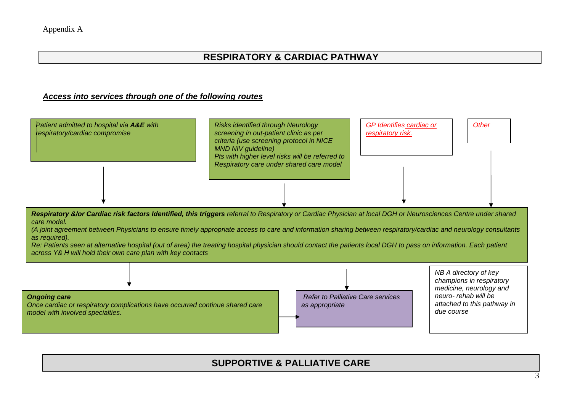## **RESPIRATORY & CARDIAC PATHWAY**

## *Access into services through one of the following routes*



*care model. (A joint agreement between Physicians to ensure timely appropriate access to care and information sharing between respiratory/cardiac and neurology consultants* 

*as required). Re: Patients seen at alternative hospital (out of area) the treating hospital physician should contact the patients local DGH to pass on information. Each patient* 

*across Y& H will hold their own care plan with key contacts* 



## **SUPPORTIVE & PALLIATIVE CARE**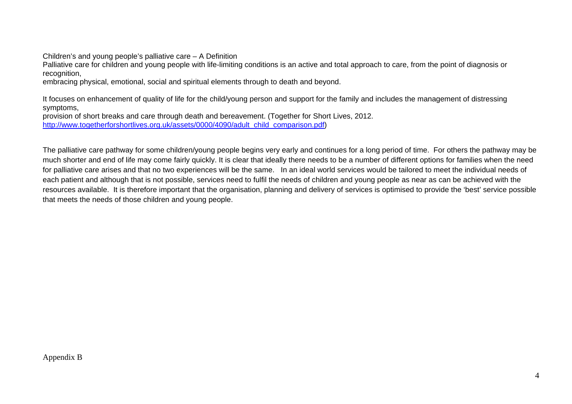Children's and young people's palliative care – A Definition

Palliative care for children and young people with life-limiting conditions is an active and total approach to care, from the point of diagnosis or recognition,

embracing physical, emotional, social and spiritual elements through to death and beyond.

It focuses on enhancement of quality of life for the child/young person and support for the family and includes the management of distressing symptoms,

provision of short breaks and care through death and bereavement. (Together for Short Lives, 2012. http://www.togetherforshortlives.org.uk/assets/0000/4090/adult\_child\_comparison.pdf)

The palliative care pathway for some children/young people begins very early and continues for a long period of time. For others the pathway may be much shorter and end of life may come fairly quickly. It is clear that ideally there needs to be a number of different options for families when the need for palliative care arises and that no two experiences will be the same. In an ideal world services would be tailored to meet the individual needs of each patient and although that is not possible, services need to fulfil the needs of children and young people as near as can be achieved with the resources available. It is therefore important that the organisation, planning and delivery of services is optimised to provide the 'best' service possible that meets the needs of those children and young people.